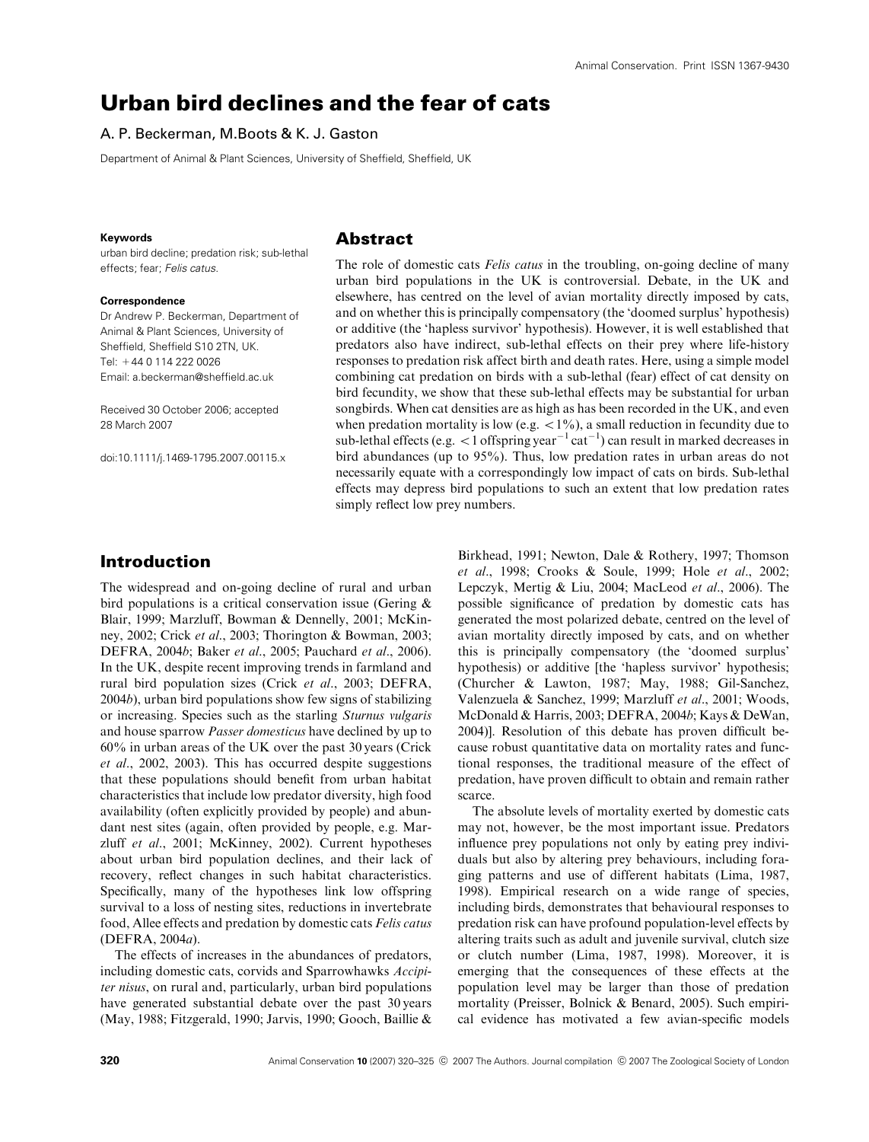# Urban bird declines and the fear of cats

#### A. P. Beckerman, M.Boots & K. J. Gaston

Department of Animal & Plant Sciences, University of Sheffield, Sheffield, UK

#### **Keywords**

urban bird decline; predation risk; sub-lethal effects; fear; Felis catus.

#### **Correspondence**

Dr Andrew P. Beckerman, Department of Animal & Plant Sciences, University of Sheffield, Sheffield S10 2TN, UK. Tel: +44 0 114 222 0026 Email: a.beckerman@sheffield.ac.uk

Received 30 October 2006; accepted 28 March 2007

doi:10.1111/j.1469-1795.2007.00115.x

#### Abstract

The role of domestic cats *Felis catus* in the troubling, on-going decline of many urban bird populations in the UK is controversial. Debate, in the UK and elsewhere, has centred on the level of avian mortality directly imposed by cats, and on whether this is principally compensatory (the 'doomed surplus' hypothesis) or additive (the 'hapless survivor' hypothesis). However, it is well established that predators also have indirect, sub-lethal effects on their prey where life-history responses to predation risk affect birth and death rates. Here, using a simple model combining cat predation on birds with a sub-lethal (fear) effect of cat density on bird fecundity, we show that these sub-lethal effects may be substantial for urban songbirds. When cat densities are as high as has been recorded in the UK, and even when predation mortality is low (e.g.  $\lt 1\%$ ), a small reduction in fecundity due to sub-lethal effects (e.g.  $\langle 1 \text{ offspring year}^{-1} \text{cat}^{-1} \rangle$  can result in marked decreases in bird abundances (up to 95%). Thus, low predation rates in urban areas do not necessarily equate with a correspondingly low impact of cats on birds. Sub-lethal effects may depress bird populations to such an extent that low predation rates simply reflect low prey numbers.

## Introduction

The widespread and on-going decline of rural and urban bird populations is a critical conservation issue (Gering & Blair, 1999; Marzluff, Bowman & Dennelly, 2001; McKinney, 2002; Crick et al., 2003; Thorington & Bowman, 2003; DEFRA, 2004b; Baker et al., 2005; Pauchard et al., 2006). In the UK, despite recent improving trends in farmland and rural bird population sizes (Crick et al., 2003; DEFRA, 2004b), urban bird populations show few signs of stabilizing or increasing. Species such as the starling Sturnus vulgaris and house sparrow Passer domesticus have declined by up to 60% in urban areas of the UK over the past 30 years (Crick et al., 2002, 2003). This has occurred despite suggestions that these populations should benefit from urban habitat characteristics that include low predator diversity, high food availability (often explicitly provided by people) and abundant nest sites (again, often provided by people, e.g. Marzluff et al., 2001; McKinney, 2002). Current hypotheses about urban bird population declines, and their lack of recovery, reflect changes in such habitat characteristics. Specifically, many of the hypotheses link low offspring survival to a loss of nesting sites, reductions in invertebrate food, Allee effects and predation by domestic cats Felis catus (DEFRA, 2004a).

The effects of increases in the abundances of predators, including domestic cats, corvids and Sparrowhawks Accipiter nisus, on rural and, particularly, urban bird populations have generated substantial debate over the past 30 years (May, 1988; Fitzgerald, 1990; Jarvis, 1990; Gooch, Baillie &

Birkhead, 1991; Newton, Dale & Rothery, 1997; Thomson et al., 1998; Crooks & Soule, 1999; Hole et al., 2002; Lepczyk, Mertig & Liu, 2004; MacLeod et al., 2006). The possible significance of predation by domestic cats has generated the most polarized debate, centred on the level of avian mortality directly imposed by cats, and on whether this is principally compensatory (the 'doomed surplus' hypothesis) or additive [the 'hapless survivor' hypothesis; (Churcher & Lawton, 1987; May, 1988; Gil-Sanchez, Valenzuela & Sanchez, 1999; Marzluff et al., 2001; Woods, McDonald & Harris, 2003; DEFRA, 2004b; Kays & DeWan, 2004)]. Resolution of this debate has proven difficult because robust quantitative data on mortality rates and functional responses, the traditional measure of the effect of predation, have proven difficult to obtain and remain rather scarce.

The absolute levels of mortality exerted by domestic cats may not, however, be the most important issue. Predators influence prey populations not only by eating prey individuals but also by altering prey behaviours, including foraging patterns and use of different habitats (Lima, 1987, 1998). Empirical research on a wide range of species, including birds, demonstrates that behavioural responses to predation risk can have profound population-level effects by altering traits such as adult and juvenile survival, clutch size or clutch number (Lima, 1987, 1998). Moreover, it is emerging that the consequences of these effects at the population level may be larger than those of predation mortality (Preisser, Bolnick & Benard, 2005). Such empirical evidence has motivated a few avian-specific models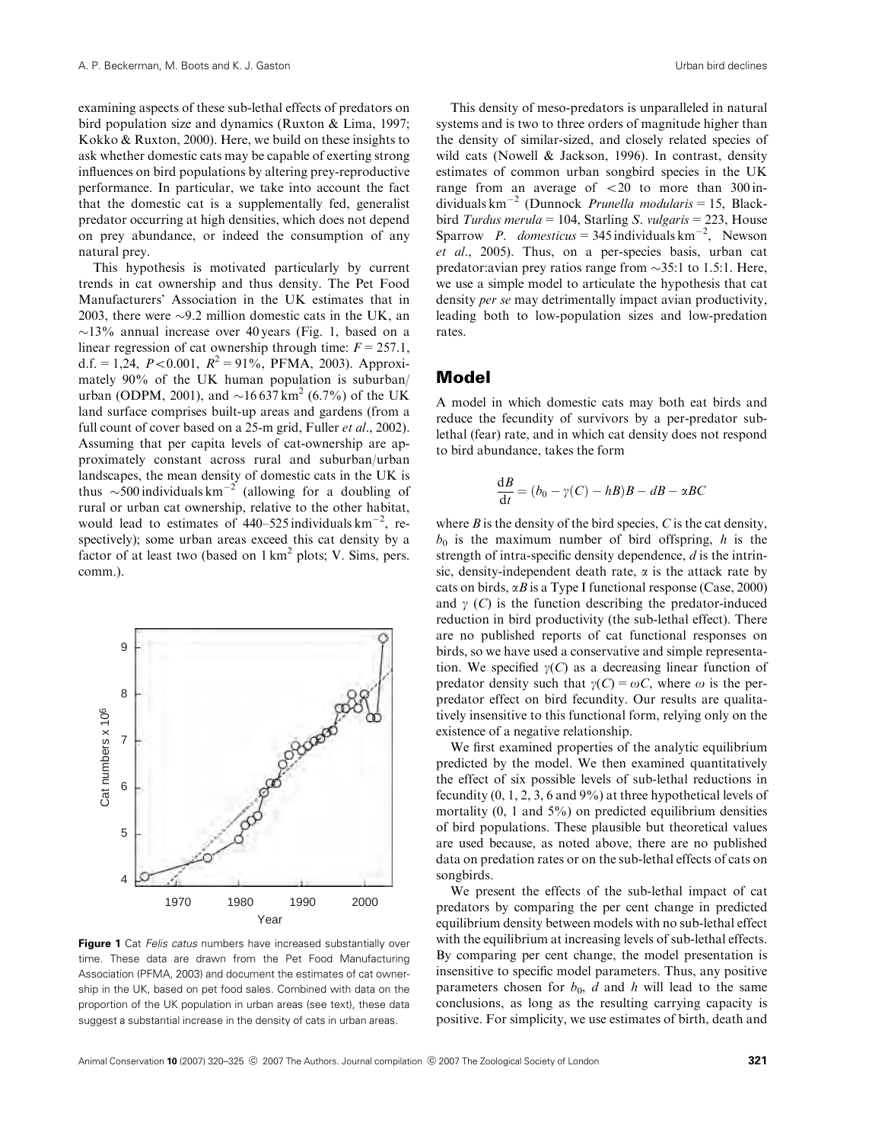examining aspects of these sub-lethal effects of predators on bird population size and dynamics (Ruxton & Lima, 1997; Kokko & Ruxton, 2000). Here, we build on these insights to ask whether domestic cats may be capable of exerting strong influences on bird populations by altering prey-reproductive performance. In particular, we take into account the fact that the domestic cat is a supplementally fed, generalist predator occurring at high densities, which does not depend on prey abundance, or indeed the consumption of any natural prey.

This hypothesis is motivated particularly by current trends in cat ownership and thus density. The Pet Food Manufacturers' Association in the UK estimates that in 2003, there were  $\sim$ 9.2 million domestic cats in the UK, an  $\sim$ 13% annual increase over 40 years (Fig. 1, based on a linear regression of cat ownership through time:  $F = 257.1$ , d.f. = 1,24,  $P < 0.001$ ,  $R^2 = 91\%$ , PFMA, 2003). Approximately 90% of the UK human population is suburban/ urban (ODPM, 2001), and  $\sim 16\,637\,\text{km}^2$  (6.7%) of the UK land surface comprises built-up areas and gardens (from a full count of cover based on a 25-m grid, Fuller et al., 2002). Assuming that per capita levels of cat-ownership are approximately constant across rural and suburban/urban landscapes, the mean density of domestic cats in the UK is thus  $\sim$  500 individuals km<sup>-2</sup> (allowing for a doubling of rural or urban cat ownership, relative to the other habitat, would lead to estimates of  $440-525$  individuals km<sup>-2</sup>, respectively); some urban areas exceed this cat density by a factor of at least two (based on  $1 \text{ km}^2$  plots; V. Sims, pers. comm.).



**Figure 1** Cat Felis catus numbers have increased substantially over time. These data are drawn from the Pet Food Manufacturing Association (PFMA, 2003) and document the estimates of cat ownership in the UK, based on pet food sales. Combined with data on the proportion of the UK population in urban areas (see text), these data suggest a substantial increase in the density of cats in urban areas.

This density of meso-predators is unparalleled in natural systems and is two to three orders of magnitude higher than the density of similar-sized, and closely related species of wild cats (Nowell & Jackson, 1996). In contrast, density estimates of common urban songbird species in the UK range from an average of  $\langle 20 \rangle$  to more than 300 individuals  $km^{-2}$  (Dunnock *Prunella modularis* = 15, Blackbird Turdus merula = 104, Starling S. vulgaris = 223, House Sparrow P. domesticus = 345 individuals  $km^{-2}$ , Newson et al., 2005). Thus, on a per-species basis, urban cat predator: avian prey ratios range from  $\sim$ 35:1 to 1.5:1. Here, we use a simple model to articulate the hypothesis that cat density per se may detrimentally impact avian productivity, leading both to low-population sizes and low-predation rates.

#### Model

A model in which domestic cats may both eat birds and reduce the fecundity of survivors by a per-predator sublethal (fear) rate, and in which cat density does not respond to bird abundance, takes the form

$$
\frac{\mathrm{d}B}{\mathrm{d}t} = (b_0 - \gamma(C) - hB)B - dB - \alpha BC
$$

where  $B$  is the density of the bird species,  $C$  is the cat density,  $b_0$  is the maximum number of bird offspring, h is the strength of intra-specific density dependence,  $d$  is the intrinsic, density-independent death rate,  $\alpha$  is the attack rate by cats on birds,  $\alpha B$  is a Type I functional response (Case, 2000) and  $\gamma$  (C) is the function describing the predator-induced reduction in bird productivity (the sub-lethal effect). There are no published reports of cat functional responses on birds, so we have used a conservative and simple representation. We specified  $\gamma(C)$  as a decreasing linear function of predator density such that  $\gamma(C) = \omega C$ , where  $\omega$  is the perpredator effect on bird fecundity. Our results are qualitatively insensitive to this functional form, relying only on the existence of a negative relationship.

We first examined properties of the analytic equilibrium predicted by the model. We then examined quantitatively the effect of six possible levels of sub-lethal reductions in fecundity  $(0, 1, 2, 3, 6$  and  $9\%)$  at three hypothetical levels of mortality  $(0, 1 \text{ and } 5\%)$  on predicted equilibrium densities of bird populations. These plausible but theoretical values are used because, as noted above, there are no published data on predation rates or on the sub-lethal effects of cats on songbirds.

We present the effects of the sub-lethal impact of cat predators by comparing the per cent change in predicted equilibrium density between models with no sub-lethal effect with the equilibrium at increasing levels of sub-lethal effects. By comparing per cent change, the model presentation is insensitive to specific model parameters. Thus, any positive parameters chosen for  $b_0$ , d and h will lead to the same conclusions, as long as the resulting carrying capacity is positive. For simplicity, we use estimates of birth, death and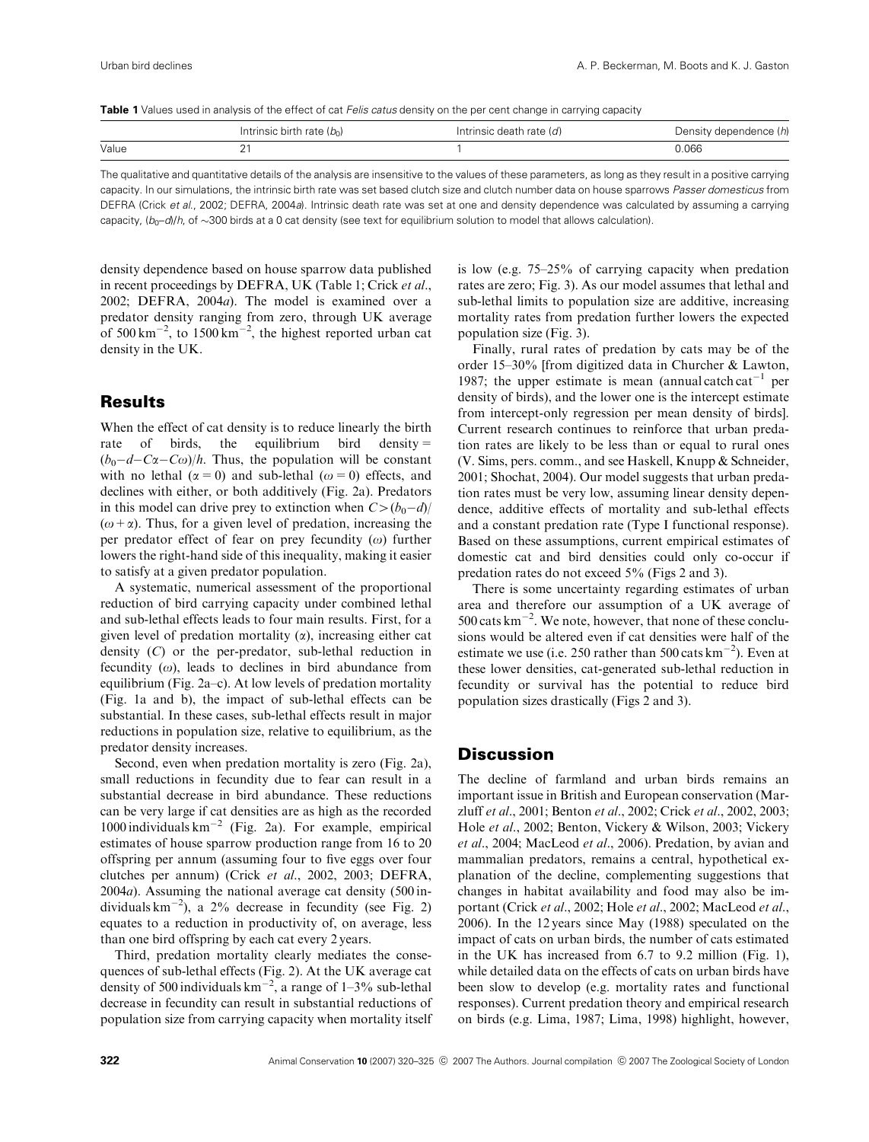Table 1 Values used in analysis of the effect of cat Felis catus density on the per cent change in carrying capacity

|       | Intrinsic birth rate $(b_0)$ | Intrinsic death rate $(d)$ | Density dependence (h) |
|-------|------------------------------|----------------------------|------------------------|
| Value |                              |                            | 0.066                  |
|       |                              |                            |                        |

The qualitative and quantitative details of the analysis are insensitive to the values of these parameters, as long as they result in a positive carrying capacity. In our simulations, the intrinsic birth rate was set based clutch size and clutch number data on house sparrows Passer domesticus from DEFRA (Crick et al., 2002; DEFRA, 2004a). Intrinsic death rate was set at one and density dependence was calculated by assuming a carrying capacity,  $(b_0-d)/h$ , of ~300 birds at a 0 cat density (see text for equilibrium solution to model that allows calculation).

density dependence based on house sparrow data published in recent proceedings by DEFRA, UK (Table 1; Crick et al., 2002; DEFRA, 2004a). The model is examined over a predator density ranging from zero, through UK average of  $500 \text{ km}^{-2}$ , to  $1500 \text{ km}^{-2}$ , the highest reported urban cat density in the UK.

## **Results**

When the effect of cat density is to reduce linearly the birth rate of birds, the equilibrium bird density  $=$  $(b_0-d-C\alpha-C\omega)/h$ . Thus, the population will be constant with no lethal ( $\alpha = 0$ ) and sub-lethal ( $\omega = 0$ ) effects, and declines with either, or both additively (Fig. 2a). Predators in this model can drive prey to extinction when  $C > (b_0-d)/$  $(\omega + \alpha)$ . Thus, for a given level of predation, increasing the per predator effect of fear on prey fecundity  $(\omega)$  further lowers the right-hand side of this inequality, making it easier to satisfy at a given predator population.

A systematic, numerical assessment of the proportional reduction of bird carrying capacity under combined lethal and sub-lethal effects leads to four main results. First, for a given level of predation mortality  $(\alpha)$ , increasing either cat density (C) or the per-predator, sub-lethal reduction in fecundity  $(\omega)$ , leads to declines in bird abundance from equilibrium (Fig. 2a–c). At low levels of predation mortality (Fig. 1a and b), the impact of sub-lethal effects can be substantial. In these cases, sub-lethal effects result in major reductions in population size, relative to equilibrium, as the predator density increases.

Second, even when predation mortality is zero (Fig. 2a), small reductions in fecundity due to fear can result in a substantial decrease in bird abundance. These reductions can be very large if cat densities are as high as the recorded 1000 individuals  $km^{-2}$  (Fig. 2a). For example, empirical estimates of house sparrow production range from 16 to 20 offspring per annum (assuming four to five eggs over four clutches per annum) (Crick et al., 2002, 2003; DEFRA, 2004a). Assuming the national average cat density (500 individuals  $km^{-2}$ ), a 2% decrease in fecundity (see Fig. 2) equates to a reduction in productivity of, on average, less than one bird offspring by each cat every 2 years.

Third, predation mortality clearly mediates the consequences of sub-lethal effects (Fig. 2). At the UK average cat density of 500 individuals  $km^{-2}$ , a range of 1–3% sub-lethal decrease in fecundity can result in substantial reductions of population size from carrying capacity when mortality itself is low (e.g. 75–25% of carrying capacity when predation rates are zero; Fig. 3). As our model assumes that lethal and sub-lethal limits to population size are additive, increasing mortality rates from predation further lowers the expected population size (Fig. 3).

Finally, rural rates of predation by cats may be of the order 15–30% [from digitized data in Churcher & Lawton, 1987; the upper estimate is mean (annual catch cat<sup>-1</sup> per density of birds), and the lower one is the intercept estimate from intercept-only regression per mean density of birds]. Current research continues to reinforce that urban predation rates are likely to be less than or equal to rural ones (V. Sims, pers. comm., and see Haskell, Knupp & Schneider, 2001; Shochat, 2004). Our model suggests that urban predation rates must be very low, assuming linear density dependence, additive effects of mortality and sub-lethal effects and a constant predation rate (Type I functional response). Based on these assumptions, current empirical estimates of domestic cat and bird densities could only co-occur if predation rates do not exceed 5% (Figs 2 and 3).

There is some uncertainty regarding estimates of urban area and therefore our assumption of a UK average of  $500$  cats km<sup>-2</sup>. We note, however, that none of these conclusions would be altered even if cat densities were half of the estimate we use (i.e. 250 rather than 500 cats  $\text{km}^{-2}$ ). Even at these lower densities, cat-generated sub-lethal reduction in fecundity or survival has the potential to reduce bird population sizes drastically (Figs 2 and 3).

## **Discussion**

The decline of farmland and urban birds remains an important issue in British and European conservation (Marzluff et al., 2001; Benton et al., 2002; Crick et al., 2002, 2003; Hole et al., 2002; Benton, Vickery & Wilson, 2003; Vickery et al., 2004; MacLeod et al., 2006). Predation, by avian and mammalian predators, remains a central, hypothetical explanation of the decline, complementing suggestions that changes in habitat availability and food may also be important (Crick et al., 2002; Hole et al., 2002; MacLeod et al., 2006). In the 12 years since May (1988) speculated on the impact of cats on urban birds, the number of cats estimated in the UK has increased from 6.7 to 9.2 million (Fig. 1), while detailed data on the effects of cats on urban birds have been slow to develop (e.g. mortality rates and functional responses). Current predation theory and empirical research on birds (e.g. Lima, 1987; Lima, 1998) highlight, however,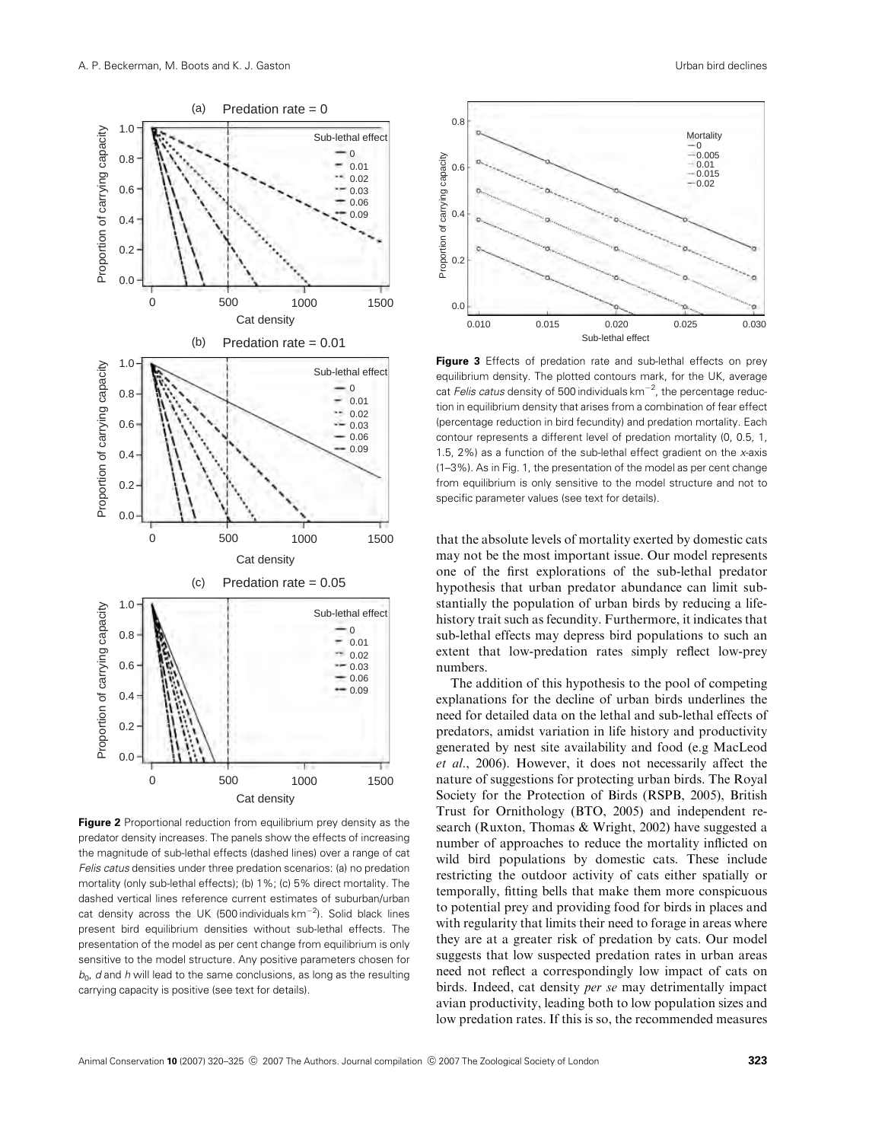

**Figure 2** Proportional reduction from equilibrium prey density as the predator density increases. The panels show the effects of increasing the magnitude of sub-lethal effects (dashed lines) over a range of cat Felis catus densities under three predation scenarios: (a) no predation mortality (only sub-lethal effects); (b) 1%; (c) 5% direct mortality. The dashed vertical lines reference current estimates of suburban/urban cat density across the UK (500 individuals  $km^{-2}$ ). Solid black lines present bird equilibrium densities without sub-lethal effects. The presentation of the model as per cent change from equilibrium is only sensitive to the model structure. Any positive parameters chosen for  $b<sub>0</sub>$ , d and h will lead to the same conclusions, as long as the resulting carrying capacity is positive (see text for details).



**Figure 3** Effects of predation rate and sub-lethal effects on prey equilibrium density. The plotted contours mark, for the UK, average cat Felis catus density of 500 individuals  $km^{-2}$ , the percentage reduction in equilibrium density that arises from a combination of fear effect (percentage reduction in bird fecundity) and predation mortality. Each contour represents a different level of predation mortality (0, 0.5, 1, 1.5, 2%) as a function of the sub-lethal effect gradient on the x-axis (1–3%). As in Fig. 1, the presentation of the model as per cent change from equilibrium is only sensitive to the model structure and not to specific parameter values (see text for details).

that the absolute levels of mortality exerted by domestic cats may not be the most important issue. Our model represents one of the first explorations of the sub-lethal predator hypothesis that urban predator abundance can limit substantially the population of urban birds by reducing a lifehistory trait such as fecundity. Furthermore, it indicates that sub-lethal effects may depress bird populations to such an extent that low-predation rates simply reflect low-prey numbers.

The addition of this hypothesis to the pool of competing explanations for the decline of urban birds underlines the need for detailed data on the lethal and sub-lethal effects of predators, amidst variation in life history and productivity generated by nest site availability and food (e.g MacLeod et al., 2006). However, it does not necessarily affect the nature of suggestions for protecting urban birds. The Royal Society for the Protection of Birds (RSPB, 2005), British Trust for Ornithology (BTO, 2005) and independent research (Ruxton, Thomas & Wright, 2002) have suggested a number of approaches to reduce the mortality inflicted on wild bird populations by domestic cats. These include restricting the outdoor activity of cats either spatially or temporally, fitting bells that make them more conspicuous to potential prey and providing food for birds in places and with regularity that limits their need to forage in areas where they are at a greater risk of predation by cats. Our model suggests that low suspected predation rates in urban areas need not reflect a correspondingly low impact of cats on birds. Indeed, cat density per se may detrimentally impact avian productivity, leading both to low population sizes and low predation rates. If this is so, the recommended measures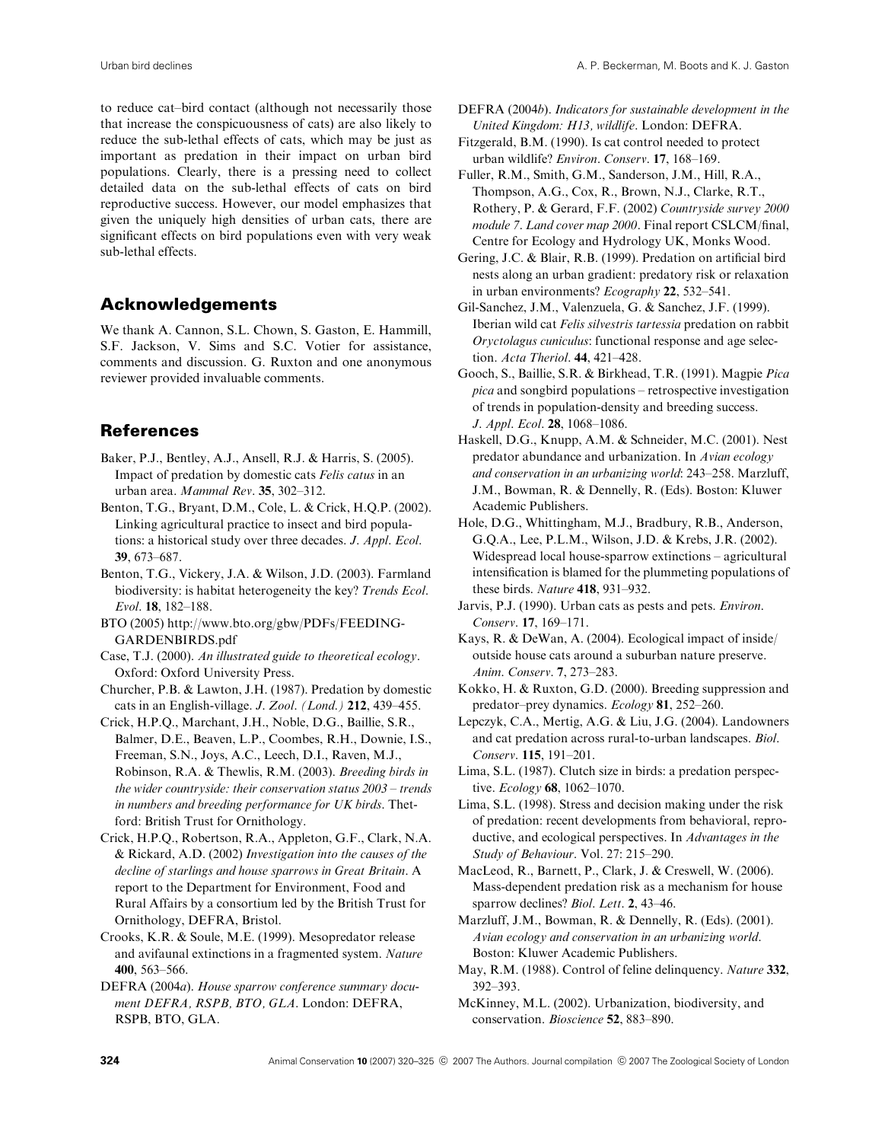to reduce cat–bird contact (although not necessarily those that increase the conspicuousness of cats) are also likely to reduce the sub-lethal effects of cats, which may be just as important as predation in their impact on urban bird populations. Clearly, there is a pressing need to collect detailed data on the sub-lethal effects of cats on bird reproductive success. However, our model emphasizes that given the uniquely high densities of urban cats, there are significant effects on bird populations even with very weak sub-lethal effects.

#### Acknowledgements

We thank A. Cannon, S.L. Chown, S. Gaston, E. Hammill, S.F. Jackson, V. Sims and S.C. Votier for assistance, comments and discussion. G. Ruxton and one anonymous reviewer provided invaluable comments.

#### References

- Baker, P.J., Bentley, A.J., Ansell, R.J. & Harris, S. (2005). Impact of predation by domestic cats Felis catus in an urban area. Mammal Rev. 35, 302–312.
- Benton, T.G., Bryant, D.M., Cole, L. & Crick, H.Q.P. (2002). Linking agricultural practice to insect and bird populations: a historical study over three decades. J. Appl. Ecol. 39, 673–687.
- Benton, T.G., Vickery, J.A. & Wilson, J.D. (2003). Farmland biodiversity: is habitat heterogeneity the key? Trends Ecol. Evol. 18, 182–188.
- BTO (2005) http://www.bto.org/gbw/PDFs/FEEDING-GARDENBIRDS.pdf
- Case, T.J. (2000). An illustrated guide to theoretical ecology. Oxford: Oxford University Press.
- Churcher, P.B. & Lawton, J.H. (1987). Predation by domestic cats in an English-village. J. Zool. (Lond.) 212, 439–455.
- Crick, H.P.Q., Marchant, J.H., Noble, D.G., Baillie, S.R., Balmer, D.E., Beaven, L.P., Coombes, R.H., Downie, I.S., Freeman, S.N., Joys, A.C., Leech, D.I., Raven, M.J., Robinson, R.A. & Thewlis, R.M. (2003). Breeding birds in the wider countryside: their conservation status 2003 – trends in numbers and breeding performance for UK birds. Thetford: British Trust for Ornithology.
- Crick, H.P.Q., Robertson, R.A., Appleton, G.F., Clark, N.A. & Rickard, A.D. (2002) Investigation into the causes of the decline of starlings and house sparrows in Great Britain. A report to the Department for Environment, Food and Rural Affairs by a consortium led by the British Trust for Ornithology, DEFRA, Bristol.
- Crooks, K.R. & Soule, M.E. (1999). Mesopredator release and avifaunal extinctions in a fragmented system. Nature 400, 563–566.
- DEFRA (2004a). House sparrow conference summary document DEFRA, RSPB, BTO, GLA. London: DEFRA, RSPB, BTO, GLA.

DEFRA (2004b). Indicators for sustainable development in the United Kingdom: H13, wildlife. London: DEFRA.

Fitzgerald, B.M. (1990). Is cat control needed to protect urban wildlife? Environ. Conserv. 17, 168–169.

- Fuller, R.M., Smith, G.M., Sanderson, J.M., Hill, R.A., Thompson, A.G., Cox, R., Brown, N.J., Clarke, R.T., Rothery, P. & Gerard, F.F. (2002) Countryside survey 2000 module 7. Land cover map 2000. Final report CSLCM/final, Centre for Ecology and Hydrology UK, Monks Wood.
- Gering, J.C. & Blair, R.B. (1999). Predation on artificial bird nests along an urban gradient: predatory risk or relaxation in urban environments? Ecography 22, 532–541.
- Gil-Sanchez, J.M., Valenzuela, G. & Sanchez, J.F. (1999). Iberian wild cat Felis silvestris tartessia predation on rabbit Oryctolagus cuniculus: functional response and age selection. Acta Theriol. 44, 421–428.
- Gooch, S., Baillie, S.R. & Birkhead, T.R. (1991). Magpie Pica pica and songbird populations – retrospective investigation of trends in population-density and breeding success. J. Appl. Ecol. 28, 1068–1086.
- Haskell, D.G., Knupp, A.M. & Schneider, M.C. (2001). Nest predator abundance and urbanization. In Avian ecology and conservation in an urbanizing world: 243–258. Marzluff, J.M., Bowman, R. & Dennelly, R. (Eds). Boston: Kluwer Academic Publishers.
- Hole, D.G., Whittingham, M.J., Bradbury, R.B., Anderson, G.Q.A., Lee, P.L.M., Wilson, J.D. & Krebs, J.R. (2002). Widespread local house-sparrow extinctions – agricultural intensification is blamed for the plummeting populations of these birds. Nature 418, 931–932.
- Jarvis, P.J. (1990). Urban cats as pests and pets. Environ. Conserv. 17, 169–171.
- Kays, R. & DeWan, A. (2004). Ecological impact of inside/ outside house cats around a suburban nature preserve. Anim. Conserv. 7, 273–283.
- Kokko, H. & Ruxton, G.D. (2000). Breeding suppression and predator–prey dynamics. Ecology 81, 252–260.
- Lepczyk, C.A., Mertig, A.G. & Liu, J.G. (2004). Landowners and cat predation across rural-to-urban landscapes. Biol. Conserv. 115, 191–201.
- Lima, S.L. (1987). Clutch size in birds: a predation perspective. Ecology 68, 1062–1070.
- Lima, S.L. (1998). Stress and decision making under the risk of predation: recent developments from behavioral, reproductive, and ecological perspectives. In Advantages in the Study of Behaviour. Vol. 27: 215–290.
- MacLeod, R., Barnett, P., Clark, J. & Creswell, W. (2006). Mass-dependent predation risk as a mechanism for house sparrow declines? Biol. Lett. 2, 43-46.
- Marzluff, J.M., Bowman, R. & Dennelly, R. (Eds). (2001). Avian ecology and conservation in an urbanizing world. Boston: Kluwer Academic Publishers.
- May, R.M. (1988). Control of feline delinquency. Nature 332, 392–393.
- McKinney, M.L. (2002). Urbanization, biodiversity, and conservation. Bioscience 52, 883–890.